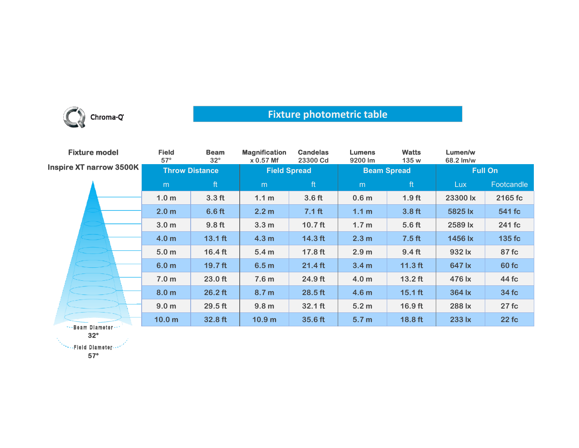

## **Fixture photometric table**

| <b>Fixture model</b>             | <b>Field</b><br>$57^\circ$ | <b>Beam</b><br>$32^\circ$ | <b>Magnification</b><br>x 0.57 Mf | <b>Candelas</b><br>23300 Cd | <b>Lumens</b><br>9200 lm | <b>Watts</b><br>135 w | Lumen/w<br>68.2 lm/w |            |
|----------------------------------|----------------------------|---------------------------|-----------------------------------|-----------------------------|--------------------------|-----------------------|----------------------|------------|
| <b>Inspire XT narrow 3500K  </b> | <b>Throw Distance</b>      |                           | <b>Field Spread</b>               |                             | <b>Beam Spread</b>       |                       | <b>Full On</b>       |            |
|                                  | m                          | ft                        | m                                 | ft                          | m                        | ft                    | <b>Lux</b>           | Footcandle |
|                                  | 1.0 <sub>m</sub>           | 3.3 <sub>ft</sub>         | 1.1 <sub>m</sub>                  | 3.6 <sub>ft</sub>           | 0.6 <sub>m</sub>         | 1.9 <sub>ft</sub>     | 23300 lx             | 2165 fc    |
|                                  | 2.0 <sub>m</sub>           | 6.6 <sub>ft</sub>         | 2.2 <sub>m</sub>                  | 7.1 <sub>ft</sub>           | 1.1 <sub>m</sub>         | 3.8 <sub>ft</sub>     | 5825 lx              | 541 fc     |
|                                  | 3.0 <sub>m</sub>           | $9.8$ ft                  | 3.3 <sub>m</sub>                  | $10.7$ ft                   | 1.7 <sub>m</sub>         | $5.6$ ft              | 2589 lx              | 241 fc     |
|                                  | 4.0 <sub>m</sub>           | $13.1$ ft                 | 4.3 <sub>m</sub>                  | $14.3$ ft                   | 2.3 <sub>m</sub>         | 7.5 <sub>ft</sub>     | 1456 lx              | 135 fc     |
|                                  | 5.0 <sub>m</sub>           | $16.4$ ft                 | 5.4 <sub>m</sub>                  | 17.8 ft                     | 2.9 <sub>m</sub>         | 9.4 <sub>ft</sub>     | 932 lx               | 87 fc      |
|                                  | 6.0 <sub>m</sub>           | $19.7$ ft                 | 6.5 <sub>m</sub>                  | $21.4$ ft                   | 3.4 <sub>m</sub>         | $11.3$ ft             | 647 lx               | 60 fc      |
|                                  | 7.0 <sub>m</sub>           | $23.0$ ft                 | 7.6 <sub>m</sub>                  | 24.9 ft                     | 4.0 <sub>m</sub>         | $13.2$ ft             | 476 lx               | 44 fc      |
|                                  | 8.0 <sub>m</sub>           | $26.2$ ft                 | 8.7 <sub>m</sub>                  | $28.5$ ft                   | 4.6 <sub>m</sub>         | $15.1$ ft             | 364 lx               | 34 fc      |
|                                  | 9.0 <sub>m</sub>           | $29.5$ ft                 | 9.8 <sub>m</sub>                  | $32.1$ ft                   | 5.2 <sub>m</sub>         | 16.9 ft               | 288 lx               | 27fc       |
|                                  | 10.0 <sub>m</sub>          | 32.8 ft                   | 10.9 <sub>m</sub>                 | 35.6 ft                     | 5.7 <sub>m</sub>         | 18.8 ft               | 233 lx               | 22fc       |
| *** Beam Diameter ***            |                            |                           |                                   |                             |                          |                       |                      |            |

**32°**

**57°**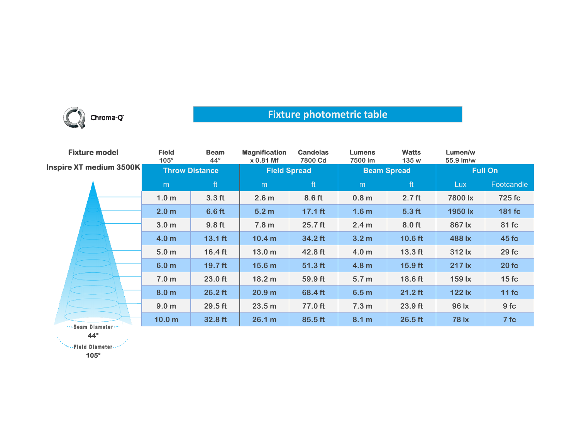

## **Fixture photometric table**

| <b>Fixture model</b><br>Inspire XT medium 3500K | <b>Field</b><br>$105^\circ$ | <b>Beam</b><br>$44^\circ$ | <b>Magnification</b><br>x 0.81 Mf | <b>Candelas</b><br>7800 Cd | <b>Lumens</b><br>7500 lm | <b>Watts</b><br>135 w | Lumen/w<br>55.9 lm/w |            |
|-------------------------------------------------|-----------------------------|---------------------------|-----------------------------------|----------------------------|--------------------------|-----------------------|----------------------|------------|
|                                                 | <b>Throw Distance</b>       |                           | <b>Field Spread</b>               |                            | <b>Beam Spread</b>       |                       | <b>Full On</b>       |            |
|                                                 | m                           | ft                        | m                                 | ft                         | m                        | ft                    | Lux                  | Footcandle |
|                                                 | 1.0 <sub>m</sub>            | 3.3 <sub>ft</sub>         | 2.6 <sub>m</sub>                  | 8.6 ft                     | 0.8 <sub>m</sub>         | 2.7 <sub>ft</sub>     | 7800 lx              | 725 fc     |
|                                                 | 2.0 <sub>m</sub>            | 6.6 <sub>ft</sub>         | 5.2 <sub>m</sub>                  | $17.1$ ft                  | 1.6 <sub>m</sub>         | 5.3 <sub>ft</sub>     | 1950 lx              | 181 fc     |
|                                                 | 3.0 <sub>m</sub>            | 9.8 <sub>ft</sub>         | 7.8 <sub>m</sub>                  | $25.7$ ft                  | 2.4 <sub>m</sub>         | 8.0 ft                | 867 lx               | 81 fc      |
|                                                 | 4.0 <sub>m</sub>            | $13.1$ ft                 | 10.4 <sub>m</sub>                 | 34.2 ft                    | 3.2 <sub>m</sub>         | $10.6$ ft             | 488 lx               | 45 fc      |
|                                                 | 5.0 <sub>m</sub>            | $16.4$ ft                 | 13.0 <sub>m</sub>                 | 42.8 ft                    | 4.0 <sub>m</sub>         | $13.3$ ft             | 312 lx               | 29fc       |
|                                                 | 6.0 <sub>m</sub>            | 19.7 ft                   | 15.6 <sub>m</sub>                 | $51.3$ ft                  | 4.8 <sub>m</sub>         | $15.9$ ft             | 217 lx               | 20fc       |
|                                                 | 7.0 <sub>m</sub>            | 23.0 ft                   | 18.2 m                            | 59.9 ft                    | 5.7 <sub>m</sub>         | 18.6 ft               | 159 lx               | 15fc       |
|                                                 | 8.0 <sub>m</sub>            | $26.2$ ft                 | 20.9 <sub>m</sub>                 | 68.4 ft                    | 6.5 <sub>m</sub>         | $21.2$ ft             | 122 lx               | $11$ fc    |
|                                                 | 9.0 <sub>m</sub>            | 29.5 ft                   | 23.5 <sub>m</sub>                 | 77.0 ft                    | 7.3 <sub>m</sub>         | 23.9 ft               | 96 lx                | 9fc        |
| --- Beam Diameter---                            | 10.0 <sub>m</sub>           | 32.8 ft                   | 26.1 m                            | 85.5 ft                    | 8.1 m                    | $26.5$ ft             | <b>78 lx</b>         | 7fc        |

**44°**

\*\*\*\*\*Fleid Diameter ...\*

**105°**